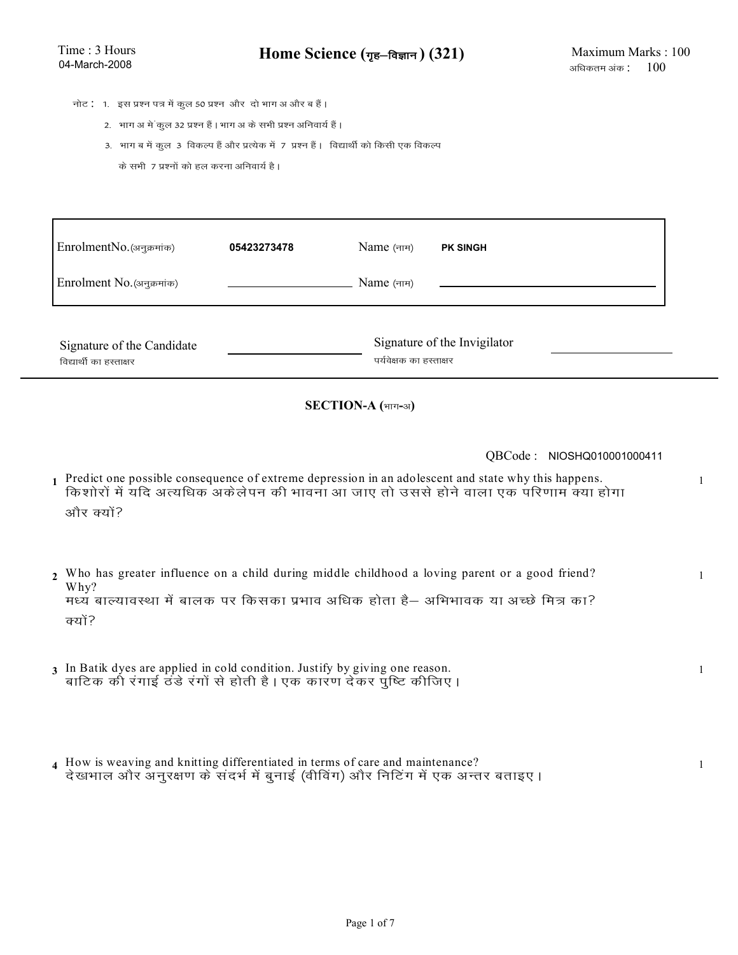- **नोट : 1. इस प्रश्न पत्र में कुल 50 प्रश्न और दो भाग अ और ब हैं।** 
	- 2. भाग अ में कुल 32 प्रश्न हैं। भाग अ के सभी प्रश्न अनिवार्य हैं।
	- 3. भाग ब में कुल 3 विकल्प हैं और प्रत्येक में 7 प्रश्न हैं। विद्यार्थी को किसी एक विकल्प
		- के सभी 7 प्रश्नों को हल करना अनिवार्य है।

| EnrolmentNo. (अनुक्रमांक)                             | 05423273478 | $Name(\pi\pi)$                                          | <b>PK SINGH</b> |
|-------------------------------------------------------|-------------|---------------------------------------------------------|-----------------|
| Enrolment No. (अनुक्रमांक)                            |             | Name (नाम)                                              |                 |
| Signature of the Candidate<br>विद्यार्थी का हस्ताक्षर |             | Signature of the Invigilator<br>पर्यवेक्षक का हस्ताक्षर |                 |

### $SECTION-A$  (भाग-अ)

QBCode : NIOSHQ010001000411

- 1 Predict one possible consequence of extreme depression in an adolescent and state why this happens. किशोरों में यदि अत्यधिक अकेलेपन की भावना आ जाए तो उससे होने वाला एक परिणाम क्या होगा ओर क्यों?
- 2 Who has greater influence on a child during middle childhood a loving parent or a good friend? Why? .<br>मध्य बाल्यावस्था में बालक पर किसका प्रभाव अधिक होता है— अभिभावक या अच्छे मित्र का? <u>क्यों?</u>
- 3 In Batik dyes are applied in cold condition. Justify by giving one reason. बाटिक की रंगाई ठंडे रंगों से होती है । एक कारण देकर पुष्टि कीजिए ।
- How is weaving and knitting differentiated in terms of care and maintenance?  **4** 1 देखभाल और अनुरक्षण के संदर्भ में बुनाई (वीविंग) और निटिंग में एक अन्तर बताइए ।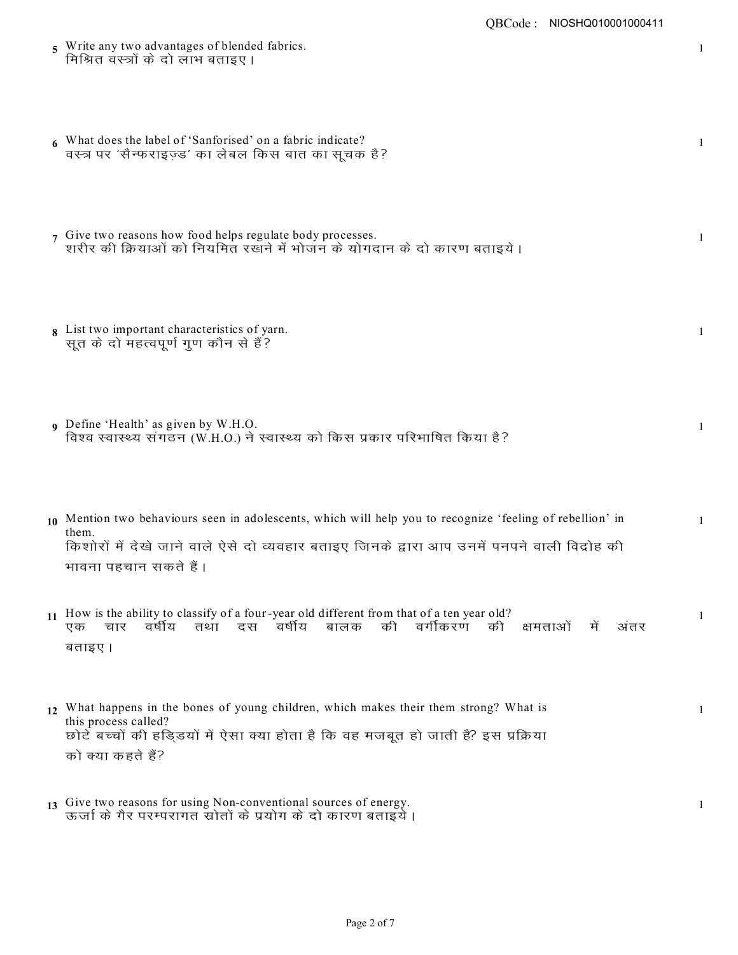- 5 Write any two advantages of blended fabrics. मिश्रित वस्त्रों के दो लाभ बताइए ।
- 6 What does the label of 'Sanforised' on a fabric indicate? वस्त्र पर 'सैन्फराइज्ड' का लेबल किस बात का सूचक है?
- 7 Give two reasons how food helps regulate body processes. 1 शरीर की क्रियाओं को नियमित रखने में भोजन के योगदान के दो कारण बताइये ।
- 8 List two important characteristics of yarn. <u>सू</u>त के दो महत्वपूर्ण गुण कौन से हैं?
- **9** Define 'Health' as given by W.H.O. विश्व स्वास्थ्य संगठन (W.H.O.) ने स्वास्थ्य को किस प्रकार परिभाषित किया है?
- 10 Mention two behaviours seen in adolescents, which will help you to recognize 'feeling of rebellion' in 1 them. किशोरों में देखे जाने वाले ऐसे दो व्यवहार बताइए जिनके द्वारा आप उनमें पनपने वाली विद्रोह की भावना पहचान सकते हैं ।
- 11 How is the ability to classify of a four-year old different from that of a ten year old? एक चार वर्षीय तथा दस वर्षीय बालक की वर्गीकरण की क्षमताओं में अंतर बताइए।
- 12 What happens in the bones of young children, which makes their them strong? What is 1 this process called? <u>छोटे बच्चों की हडि्डयों में ऐसा क्या होता है कि वह मजबूत हो जाती है? इस प्रक्रिया</u> को क्या कहते हैं?
- 13 Give two reasons for using Non-conventional sources of energy. ऊर्जा के गैर परम्परागत स्रोतों के प्रयोग के दो कारण बताइये ।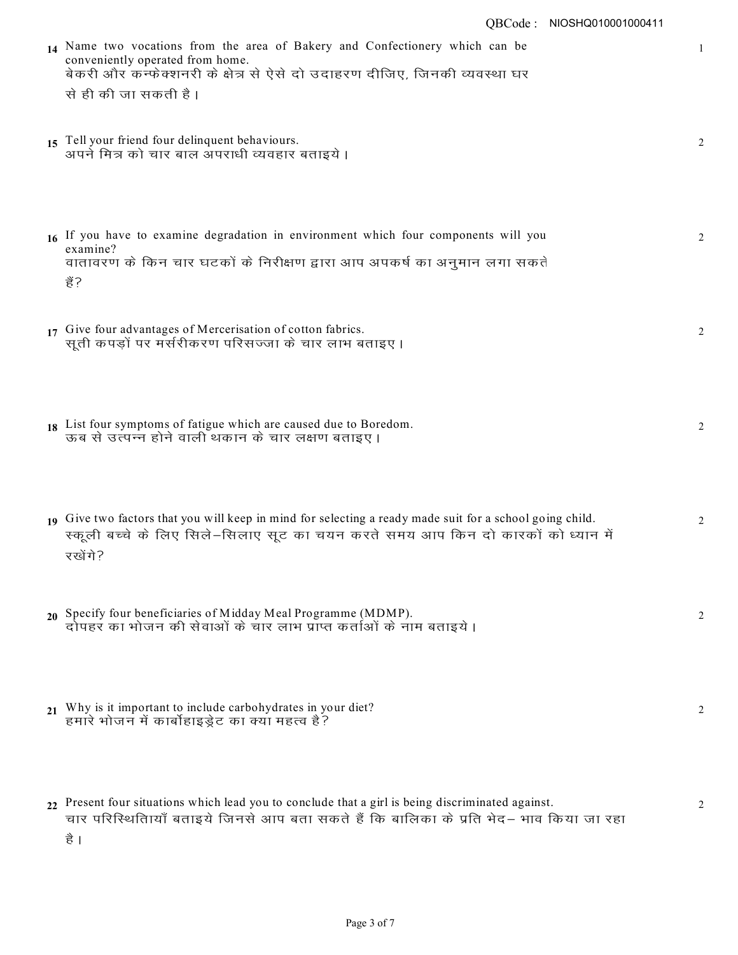| QBCode: NIOSHQ010001000411                                                                                                                                                                    |   |
|-----------------------------------------------------------------------------------------------------------------------------------------------------------------------------------------------|---|
| 14 Name two vocations from the area of Bakery and Confectionery which can be<br>conveniently operated from home.<br>बेकरी और कन्फेक्शनरी के क्षेत्र से ऐसे दो उदाहरण दीजिए, जिनकी व्यवस्था घर | 1 |
| से ही की जा सकती है।                                                                                                                                                                          |   |
| 15 Tell your friend four delinquent behaviours.<br>अपने मित्र को चार बाल अपराधी व्यवहार बताइये ।                                                                                              | 2 |
|                                                                                                                                                                                               |   |
| 16 If you have to examine degradation in environment which four components will you<br>examine?                                                                                               | 2 |
| वातावरण के किन चार घटकों के निरीक्षण द्वारा आप अपकर्ष का अनुमान लगा सकते<br>ਣ੍ਹੇਂ?                                                                                                            |   |
| 17 Give four advantages of Mercerisation of cotton fabrics.<br>सूती कपड़ों पर मर्सरीकरण परिसज्जा के चार लाभ बताइए ।                                                                           | 2 |
|                                                                                                                                                                                               |   |
| 18 List four symptoms of fatigue which are caused due to Boredom.<br>ऊब से उत्पन्न होने वाली थकान के चार लक्षण बताइए ।                                                                        | 2 |
|                                                                                                                                                                                               |   |
| 19 Give two factors that you will keep in mind for selecting a ready made suit for a school going child.                                                                                      | 2 |
| स्कूली बच्चे के लिए सिले-सिलाए सूट का चयन करते समय आप किन दो कारकों को ध्यान में<br>रखेंगे?                                                                                                   |   |
| 20 Specify four beneficiaries of Midday Meal Programme (MDMP).<br>दोपहर का भोजन की सेवाओं के चार लाभ प्राप्त कर्ताओं के नाम बताइये ।                                                          | 2 |
|                                                                                                                                                                                               |   |
| 21 Why is it important to include carbohydrates in your diet?                                                                                                                                 | 2 |
| हमारे भोजन में कार्बोहाइड्रेट का क्या महत्व है?                                                                                                                                               |   |
| 22 Present four situations which lead you to conclude that a girl is being discriminated against.                                                                                             | 2 |
| चार परिस्थितिायाँ बताइये जिनसे आप बता सकते हैं कि बालिका के प्रति भेद– भाव किया जा रहा<br>है ।                                                                                                |   |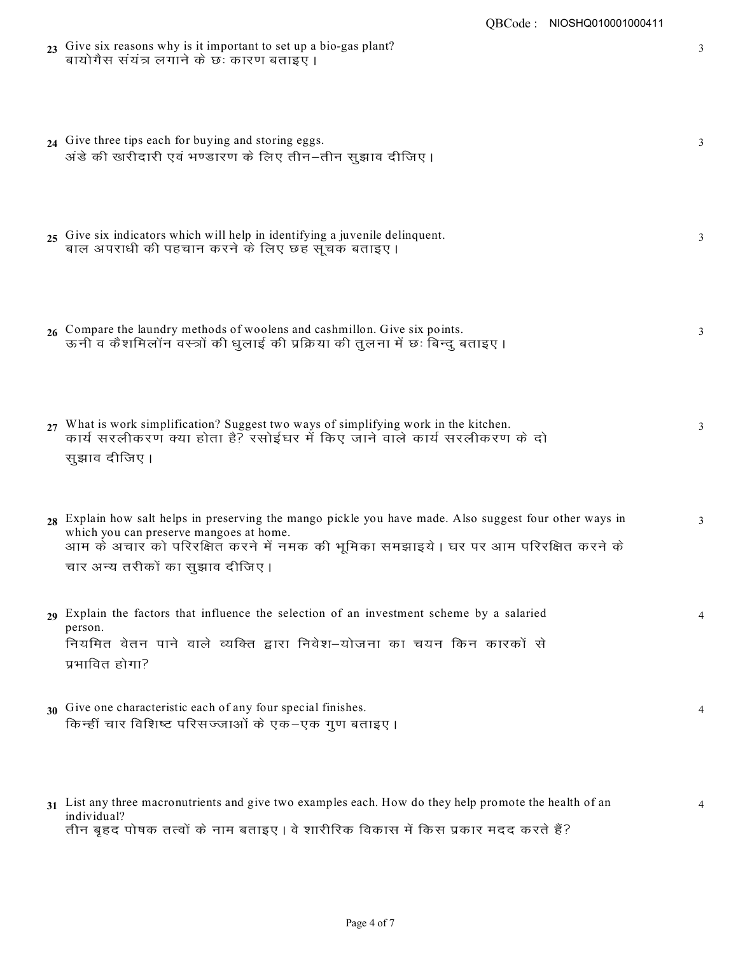|    | 23 Give six reasons why is it important to set up a bio-gas plant?<br>बायोगैस संयंत्र लगाने के छः कारण बताइए ।                                                                                                                                                               | 3 |
|----|------------------------------------------------------------------------------------------------------------------------------------------------------------------------------------------------------------------------------------------------------------------------------|---|
|    | 24 Give three tips each for buying and storing eggs.<br>अंडे की खरीदारी एवं भण्डारण के लिए तीन–तीन सुझाव दीजिए ।                                                                                                                                                             | 3 |
|    | 25 Give six indicators which will help in identifying a juvenile delinquent.<br>बाल अपराधी की पहचान करने के लिए छह सूचक बताइए ।                                                                                                                                              | 3 |
|    | 26 Compare the laundry methods of woolens and cashmillon. Give six points.<br>ऊनी व कैशमिलॉन वस्त्रों की धुलाई की प्रक्रिया की तुलना में छः बिन्दु बताइए ।                                                                                                                   | 3 |
|    | 27 What is work simplification? Suggest two ways of simplifying work in the kitchen.<br>कार्य सरलीकरण क्या होता है? रसोईघर में किए जाने वाले कार्य सरलीकरण के दो<br>सुझाव दीजिए ।                                                                                            | 3 |
|    | 28 Explain how salt helps in preserving the mango pickle you have made. Also suggest four other ways in<br>which you can preserve mangoes at home.<br>आम के अचार को परिरक्षित करने में नमक की भूमिका समझाइये। घर पर आम परिरक्षित करने के<br>चार अन्य तरीकों का सुझाव दीजिए । | 3 |
|    | 29 Explain the factors that influence the selection of an investment scheme by a salaried<br>person.<br>नियमित वेतन पाने वाले व्यक्ति द्वारा निवेश–योजना का चयन किन कारकों से<br>प्रभावित होगा?                                                                              | 4 |
| 30 | Give one characteristic each of any four special finishes.<br>किन्हीं चार विशिष्ट परिसज्जाओं के एक–एक गुण बताइए।                                                                                                                                                             | 4 |

31 List any three macronutrients and give two examples each. How do they help promote the health of an 4 individual? तीन बृहद पोषक तत्वों के नाम बताइए । वे शारीरिक विकास में किस प्रकार मदद करते हैं?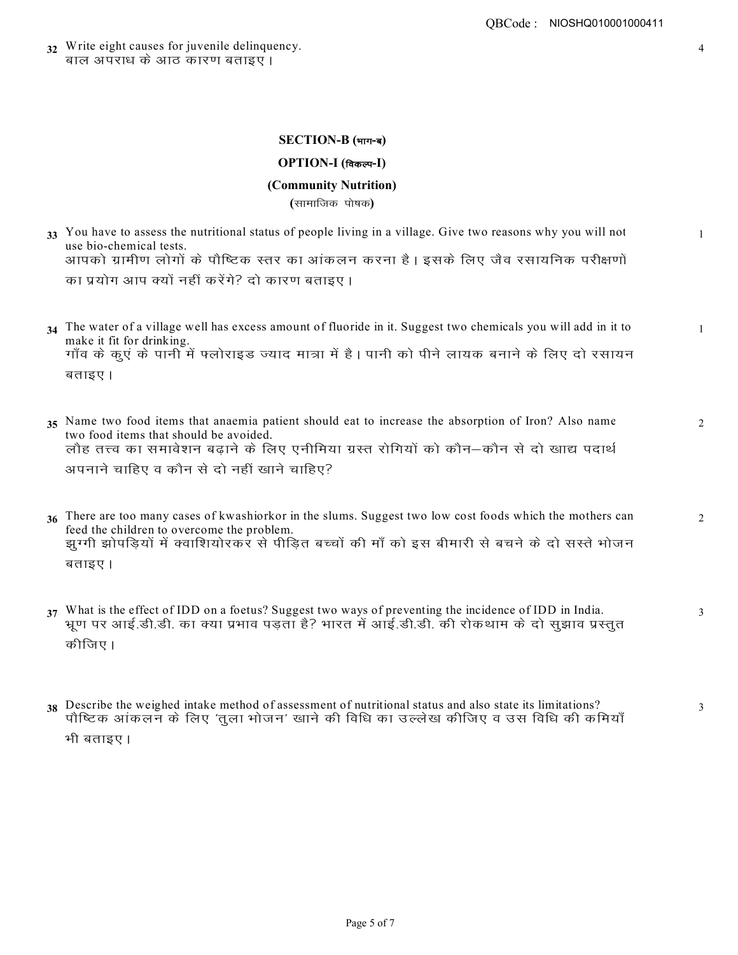32 Write eight causes for juvenile delinquency. <u>बाल अपराध के आठ कारण बताइएं।</u>

### $SECTION-B ($ भाग-ब)

# $OPTION-I$  (विकल्प-I)

# **(Community Nutrition)**

**(**सामाजिक पोषक)

- 33 You have to assess the nutritional status of people living in a village. Give two reasons why you will not use bio-chemical tests. आपको ग्रामीण लोगों के पौष्टिक स्तर का आंकलन करना है | इसके लिए जैव रसायनिक परीक्षणों का प्रयोग आप क्यों नहीं करेंगे? दो कारण बताइए **।**
- 34 The water of a village well has excess amount of fluoride in it. Suggest two chemicals you will add in it to 1 make it fit for drinking. <u>गाँव के कूएं के पानी में फ्लोराइड ज्याद मात्रा में है। पानी को पीने लायक बनाने के लिए दो रसायन</u> बताइए।
- 35 Name two food items that anaemia patient should eat to increase the absorption of Iron? Also name 2 two food items that should be avoided. लौह तत्त्व का समावेशन बढ़ाने के लिए एनीमिया ग्रस्त रोगियों को कौन—कौन से दो खाद्य पदार्थ अपनाने चाहिए व कौन से दो नहीं खाने चाहिए?
- 36 There are too many cases of kwashiorkor in the slums. Suggest two low cost foods which the mothers can 2 feed the children to overcome the problem. झुग्गी झोपड़ियों में क्वाशियोरकर से पीड़ित बच्चों की माँ को इस बीमारी से बचने के दो सस्ते भोजन बताइए।
- 37 What is the effect of IDD on a foetus? Suggest two ways of preventing the incidence of IDD in India. भूण पर आई.डी.डी. का क्या प्रभाव पडता है? भारत में आई.डी.डी. की रोकथाम के दो सुझाव प्रस्तुत कीजिए ।
- **38** Describe the weighed intake method of assessment of nutritional status and also state its limitations? पौष्टिक आंकलन के लिए 'तुला भोजन' खाने की विधि का उल्लेख कीजिए व उस विधि की कमियाँ

भी बताइए।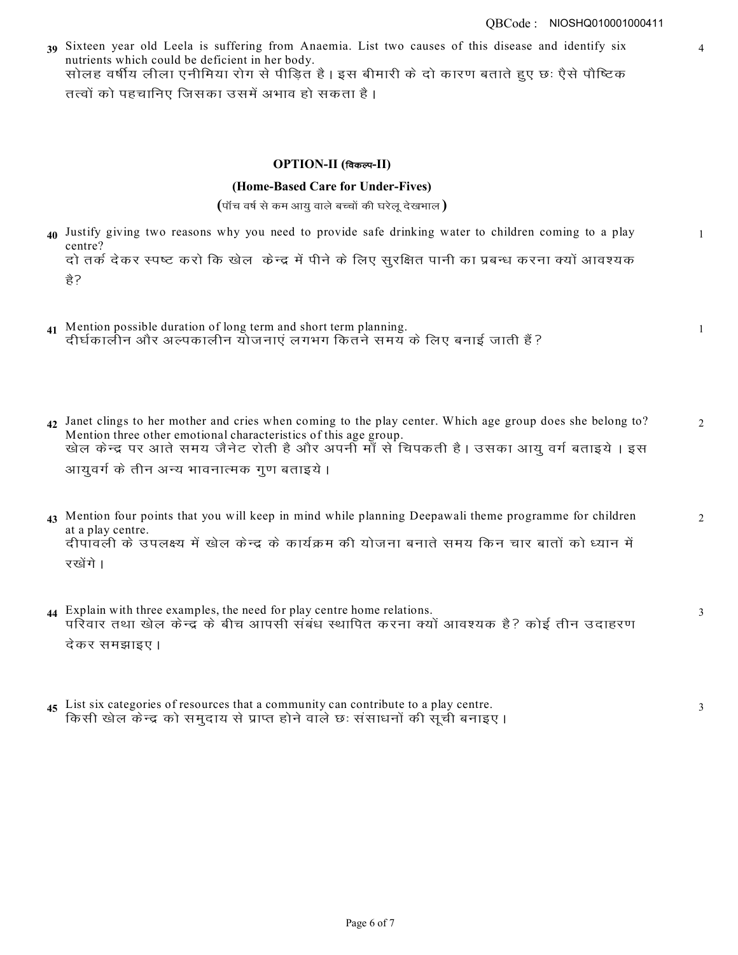39 Sixteen year old Leela is suffering from Anaemia. List two causes of this disease and identify six 4 nutrients which could be deficient in her body. सोलह वर्षीय लीला एनीमिया रोग से पीड़ित है | इस बीमारी के दो कारण बताते हुए छः ऐसे पौष्टिक तत्वों को पहचानिए जिसका उसमें अभाव हो सकता है **|** 

### $OPTION-II$  (विकल्प-II)

#### **(Home-Based Care for Under-Fives)**

 $(i)$  पाँच वर्ष से कम आयु वाले बच्चों की घरेलू देखभाल  $)$ 

40 Justify giving two reasons why you need to provide safe drinking water to children coming to a play 1 centre?

दो तर्क देकर स्पष्ट करो कि खेल केन्द्र में पीने के लिए सुरक्षित पानी का प्रबन्ध करना क्यों आवश्यक हे?

- **41** Mention possible duration of long term and short term planning. दीर्घकालीन और अल्पकालीन योजनाएं लगभग कितने समय के लिए बनाई जाती हैं?
- 42 Janet clings to her mother and cries when coming to the play center. Which age group does she belong to? Mention three other emotional characteristics of this age group. खेल केन्द्र पर आते समय जैनेट रोती है और अपनी माँ से चिपकती है। उसका आयु वर्ग बताइये। इस आयुवर्ग के तीन अन्य भावनात्मक गुण बताइये **।**
- 43 Mention four points that you will keep in mind while planning Deepawali theme programme for children 2 at a play centre. दीपावली के उपलक्ष्य में खेल केन्द्र के कार्यक्रम की योजना बनाते समय किन चार बातों को ध्यान में रखेंगे।
- **44** Explain with three examples, the need for play centre home relations. परिवार तथा खेल केन्द्र के बीच आपसी संबंध स्थापित करना क्यों आवश्यक है? कोई तीन उदाहरण देकर समझाइए।
- 45 List six categories of resources that a community can contribute to a play centre. किसी खेल केन्द्र को समुदाय से प्राप्त होने वाले छः संसाधनों की सूची बनाइए ।